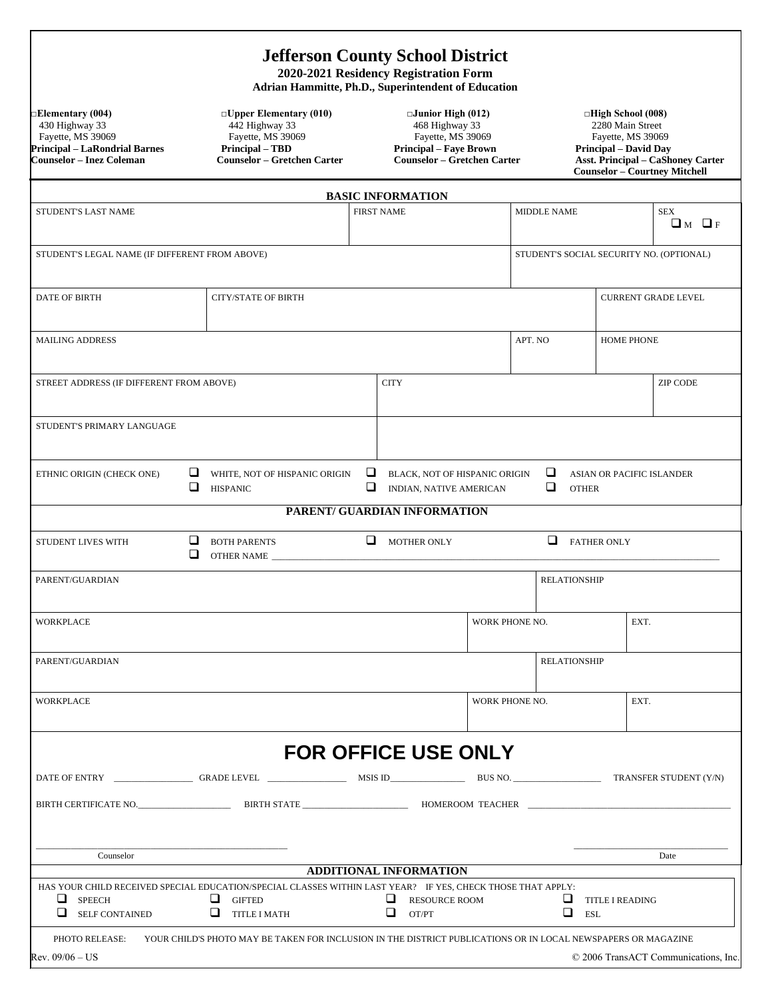## **Jefferson County School District**

**2020-2021 Residency Registration Form Adrian Hammitte, Ph.D., Superintendent of Education** 

Formentary (004)<br>  $\Box$  Elementary (010)<br>  $\Box$  Elementary (010)<br>  $\Box$  Elementary (010)<br>  $\Box$  Elementary (010)<br>  $\Box$  Elementary (010)<br>  $\Box$  Elementary (010)<br>  $\Box$  Elementary (010)<br>  $\Box$  Elementary (010)<br>  $\Box$  Elementary (01 **Principal – LaRondrial Barnes Principal – TBD Principal – Faye Brown Principal – David Day**

**□Elementary (004) □Upper Elementary (010) □Junior High (012) □High School (008)** 430 Highway 33 442 Highway 33 468 Highway 33 2280 Main Street

**Counselor – Inez Coleman Counselor – Gretchen Carter Counselor – Gretchen Carter Asst. Principal – CaShoney Carter Counselor – Courtney Mitchell** 

|                                                                                                                                                          |        |                                                                                                               |                   | <b>BASIC INFORMATION</b>                                        |  |                    |                         |                                  |                                          |
|----------------------------------------------------------------------------------------------------------------------------------------------------------|--------|---------------------------------------------------------------------------------------------------------------|-------------------|-----------------------------------------------------------------|--|--------------------|-------------------------|----------------------------------|------------------------------------------|
| STUDENT'S LAST NAME                                                                                                                                      |        |                                                                                                               | <b>FIRST NAME</b> |                                                                 |  | <b>MIDDLE NAME</b> |                         |                                  | <b>SEX</b><br>$\Box$ M $\Box$ F          |
| STUDENT'S LEGAL NAME (IF DIFFERENT FROM ABOVE)                                                                                                           |        |                                                                                                               |                   |                                                                 |  |                    |                         |                                  | STUDENT'S SOCIAL SECURITY NO. (OPTIONAL) |
| <b>DATE OF BIRTH</b>                                                                                                                                     |        | <b>CITY/STATE OF BIRTH</b>                                                                                    |                   |                                                                 |  |                    |                         |                                  | <b>CURRENT GRADE LEVEL</b>               |
| <b>MAILING ADDRESS</b>                                                                                                                                   |        |                                                                                                               |                   |                                                                 |  | APT. NO            |                         | <b>HOME PHONE</b>                |                                          |
| STREET ADDRESS (IF DIFFERENT FROM ABOVE)                                                                                                                 |        |                                                                                                               |                   | <b>CITY</b>                                                     |  |                    |                         |                                  | <b>ZIP CODE</b>                          |
| STUDENT'S PRIMARY LANGUAGE                                                                                                                               |        |                                                                                                               |                   |                                                                 |  |                    |                         |                                  |                                          |
| ETHNIC ORIGIN (CHECK ONE)                                                                                                                                | $\Box$ | $\Box$ WHITE, NOT OF HISPANIC ORIGIN<br><b>HISPANIC</b>                                                       | ⊔<br>❏            | BLACK, NOT OF HISPANIC ORIGIN<br><b>INDIAN, NATIVE AMERICAN</b> |  |                    | u.<br>❏<br><b>OTHER</b> | <b>ASIAN OR PACIFIC ISLANDER</b> |                                          |
|                                                                                                                                                          |        |                                                                                                               |                   | PARENT/ GUARDIAN INFORMATION                                    |  |                    |                         |                                  |                                          |
| STUDENT LIVES WITH                                                                                                                                       |        | BOTH PARENTS<br>OTHER NAME                                                                                    |                   | $\Box$ MOTHER ONLY                                              |  |                    | <b>EXTHER ONLY</b>      |                                  |                                          |
| PARENT/GUARDIAN                                                                                                                                          |        |                                                                                                               |                   |                                                                 |  |                    | <b>RELATIONSHIP</b>     |                                  |                                          |
| WORKPLACE                                                                                                                                                |        |                                                                                                               |                   |                                                                 |  | WORK PHONE NO.     |                         | EXT.                             |                                          |
| PARENT/GUARDIAN                                                                                                                                          |        |                                                                                                               |                   |                                                                 |  |                    | <b>RELATIONSHIP</b>     |                                  |                                          |
| WORKPLACE                                                                                                                                                |        |                                                                                                               |                   |                                                                 |  | WORK PHONE NO.     |                         | EXT.                             |                                          |
|                                                                                                                                                          |        |                                                                                                               |                   | FOR OFFICE USE ONLY                                             |  |                    |                         |                                  |                                          |
|                                                                                                                                                          |        |                                                                                                               |                   |                                                                 |  |                    |                         |                                  |                                          |
|                                                                                                                                                          |        |                                                                                                               |                   |                                                                 |  |                    |                         |                                  |                                          |
| Counselor                                                                                                                                                |        |                                                                                                               |                   | <b>ADDITIONAL INFORMATION</b>                                   |  |                    |                         |                                  | Date                                     |
| HAS YOUR CHILD RECEIVED SPECIAL EDUCATION/SPECIAL CLASSES WITHIN LAST YEAR? IF YES, CHECK THOSE THAT APPLY:<br>u<br><b>SPEECH</b><br>⊔<br>SELF CONTAINED |        | ⊔<br><b>GIFTED</b><br>⊔<br><b>TITLE I MATH</b>                                                                |                   | ⊔<br><b>RESOURCE ROOM</b><br>ப<br>OT/PT                         |  |                    | ⊔<br>❏<br><b>ESL</b>    | <b>TITLE I READING</b>           |                                          |
| PHOTO RELEASE:<br>Rev. 09/06 – US                                                                                                                        |        | YOUR CHILD'S PHOTO MAY BE TAKEN FOR INCLUSION IN THE DISTRICT PUBLICATIONS OR IN LOCAL NEWSPAPERS OR MAGAZINE |                   |                                                                 |  |                    |                         |                                  | © 2006 TransACT Communications, Inc.     |